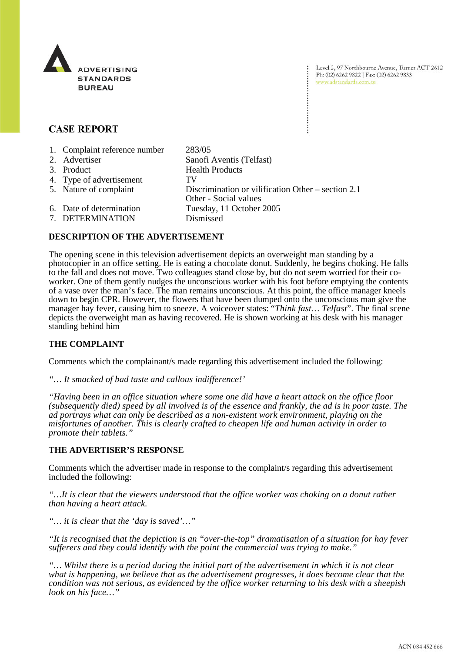

Level 2, 97 Northbourne Avenue, Turner ACT 2612 Ph: (02) 6262 9822 | Fax: (02) 6262 9833 www.adstandards.com.au

# **CASE REPORT**

| 1. Complaint reference number | 283/05                                                                      |
|-------------------------------|-----------------------------------------------------------------------------|
| 2. Advertiser                 | Sanofi Aventis (Telfast)                                                    |
| 3. Product                    | <b>Health Products</b>                                                      |
| 4. Type of advertisement      | TV                                                                          |
| 5. Nature of complaint        | Discrimination or vilification Other – section 2.1<br>Other - Social values |
| 6. Date of determination      | Tuesday, 11 October 2005                                                    |
| 7. DETERMINATION              | Dismissed                                                                   |

### **DESCRIPTION OF THE ADVERTISEMENT**

The opening scene in this television advertisement depicts an overweight man standing by a photocopier in an office setting. He is eating a chocolate donut. Suddenly, he begins choking. He falls to the fall and does not move. Two colleagues stand close by, but do not seem worried for their coworker. One of them gently nudges the unconscious worker with his foot before emptying the contents of a vase over the man's face. The man remains unconscious. At this point, the office manager kneels down to begin CPR. However, the flowers that have been dumped onto the unconscious man give the manager hay fever, causing him to sneeze. A voiceover states: "*Think fast… Telfast*". The final scene depicts the overweight man as having recovered. He is shown working at his desk with his manager standing behind him

### **THE COMPLAINT**

Comments which the complainant/s made regarding this advertisement included the following:

*"… It smacked of bad taste and callous indifference!'*

*"Having been in an office situation where some one did have a heart attack on the office floor (subsequently died) speed by all involved is of the essence and frankly, the ad is in poor taste. The ad portrays what can only be described as a non-existent work environment, playing on the misfortunes of another. This is clearly crafted to cheapen life and human activity in order to promote their tablets."*

#### **THE ADVERTISER'S RESPONSE**

Comments which the advertiser made in response to the complaint/s regarding this advertisement included the following:

*"…It is clear that the viewers understood that the office worker was choking on a donut rather than having a heart attack.* 

*"… it is clear that the 'day is saved'…"*

*"It is recognised that the depiction is an "over-the-top" dramatisation of a situation for hay fever sufferers and they could identify with the point the commercial was trying to make."*

*"… Whilst there is a period during the initial part of the advertisement in which it is not clear what is happening, we believe that as the advertisement progresses, it does become clear that the condition was not serious, as evidenced by the office worker returning to his desk with a sheepish look on his face…"*